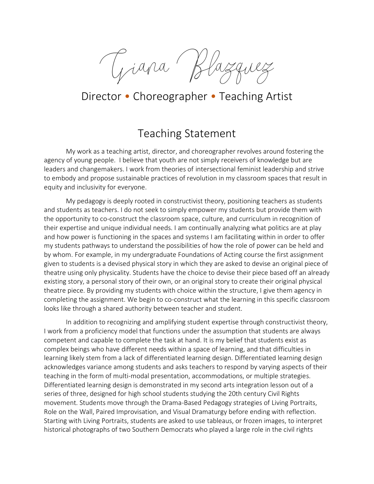Giana

## Director • Choreographer • Teaching Artist

## Teaching Statement

My work as a teaching artist, director, and choreographer revolves around fostering the agency of young people. I believe that youth are not simply receivers of knowledge but are leaders and changemakers. I work from theories of intersectional feminist leadership and strive to embody and propose sustainable practices of revolution in my classroom spaces that result in equity and inclusivity for everyone.

My pedagogy is deeply rooted in constructivist theory, positioning teachers as students and students as teachers. I do not seek to simply empower my students but provide them with the opportunity to co-construct the classroom space, culture, and curriculum in recognition of their expertise and unique individual needs. I am continually analyzing what politics are at play and how power is functioning in the spaces and systems I am facilitating within in order to offer my students pathways to understand the possibilities of how the role of power can be held and by whom. For example, in my undergraduate Foundations of Acting course the first assignment given to students is a devised physical story in which they are asked to devise an original piece of theatre using only physicality. Students have the choice to devise their piece based off an already existing story, a personal story of their own, or an original story to create their original physical theatre piece. By providing my students with choice within the structure, I give them agency in completing the assignment. We begin to co-construct what the learning in this specific classroom looks like through a shared authority between teacher and student.

In addition to recognizing and amplifying student expertise through constructivist theory, I work from a proficiency model that functions under the assumption that students are always competent and capable to complete the task at hand. It is my belief that students exist as complex beings who have different needs within a space of learning, and that difficulties in learning likely stem from a lack of differentiated learning design. Differentiated learning design acknowledges variance among students and asks teachers to respond by varying aspects of their teaching in the form of multi-modal presentation, accommodations, or multiple strategies. Differentiated learning design is demonstrated in my second arts integration lesson out of a series of three, designed for high school students studying the 20th century Civil Rights movement. Students move through the Drama-Based Pedagogy strategies of Living Portraits, Role on the Wall, Paired Improvisation, and Visual Dramaturgy before ending with reflection. Starting with Living Portraits, students are asked to use tableaus, or frozen images, to interpret historical photographs of two Southern Democrats who played a large role in the civil rights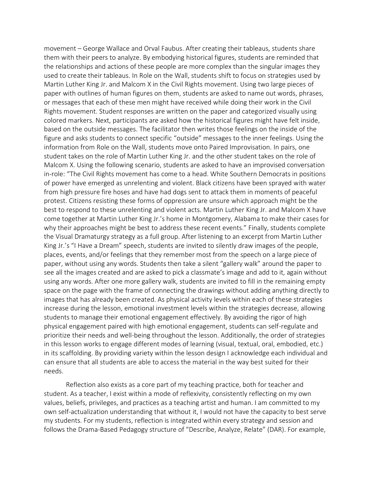movement – George Wallace and Orval Faubus. After creating their tableaus, students share them with their peers to analyze. By embodying historical figures, students are reminded that the relationships and actions of these people are more complex than the singular images they used to create their tableaus. In Role on the Wall, students shift to focus on strategies used by Martin Luther King Jr. and Malcom X in the Civil Rights movement. Using two large pieces of paper with outlines of human figures on them, students are asked to name out words, phrases, or messages that each of these men might have received while doing their work in the Civil Rights movement. Student responses are written on the paper and categorized visually using colored markers. Next, participants are asked how the historical figures might have felt inside, based on the outside messages. The facilitator then writes those feelings on the inside of the figure and asks students to connect specific "outside" messages to the inner feelings. Using the information from Role on the Wall, students move onto Paired Improvisation. In pairs, one student takes on the role of Martin Luther King Jr. and the other student takes on the role of Malcom X. Using the following scenario, students are asked to have an improvised conversation in-role: "The Civil Rights movement has come to a head. White Southern Democrats in positions of power have emerged as unrelenting and violent. Black citizens have been sprayed with water from high pressure fire hoses and have had dogs sent to attack them in moments of peaceful protest. Citizens resisting these forms of oppression are unsure which approach might be the best to respond to these unrelenting and violent acts. Martin Luther King Jr. and Malcom X have come together at Martin Luther King Jr.'s home in Montgomery, Alabama to make their cases for why their approaches might be best to address these recent events." Finally, students complete the Visual Dramaturgy strategy as a full group. After listening to an excerpt from Martin Luther King Jr.'s "I Have a Dream" speech, students are invited to silently draw images of the people, places, events, and/or feelings that they remember most from the speech on a large piece of paper, without using any words. Students then take a silent "gallery walk" around the paper to see all the images created and are asked to pick a classmate's image and add to it, again without using any words. After one more gallery walk, students are invited to fill in the remaining empty space on the page with the frame of connecting the drawings without adding anything directly to images that has already been created. As physical activity levels within each of these strategies increase during the lesson, emotional investment levels within the strategies decrease, allowing students to manage their emotional engagement effectively. By avoiding the rigor of high physical engagement paired with high emotional engagement, students can self-regulate and prioritize their needs and well-being throughout the lesson. Additionally, the order of strategies in this lesson works to engage different modes of learning (visual, textual, oral, embodied, etc.) in its scaffolding. By providing variety within the lesson design I acknowledge each individual and can ensure that all students are able to access the material in the way best suited for their needs.

Reflection also exists as a core part of my teaching practice, both for teacher and student. As a teacher, I exist within a mode of reflexivity, consistently reflecting on my own values, beliefs, privileges, and practices as a teaching artist and human. I am committed to my own self-actualization understanding that without it, I would not have the capacity to best serve my students. For my students, reflection is integrated within every strategy and session and follows the Drama-Based Pedagogy structure of "Describe, Analyze, Relate" (DAR). For example,